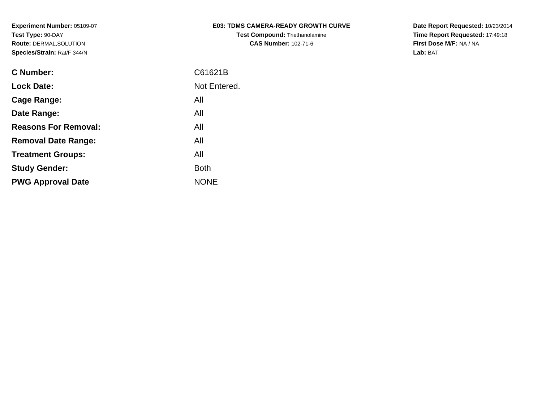| <b>E03: TDMS CAMERA-READY GROWTH CURVE</b> |  |
|--------------------------------------------|--|
| <b>Test Compound: Triethanolamine</b>      |  |
| <b>CAS Number: 102-71-6</b>                |  |

**Date Report Requested:** 10/23/2014 **Time Report Requested:** 17:49:18**First Dose M/F:** NA / NA**Lab:** BAT

| <b>C</b> Number:            | C61621B      |
|-----------------------------|--------------|
| <b>Lock Date:</b>           | Not Entered. |
| Cage Range:                 | All          |
| Date Range:                 | All          |
| <b>Reasons For Removal:</b> | All          |
| <b>Removal Date Range:</b>  | All          |
| <b>Treatment Groups:</b>    | All          |
| <b>Study Gender:</b>        | <b>Both</b>  |
| <b>PWG Approval Date</b>    | <b>NONE</b>  |
|                             |              |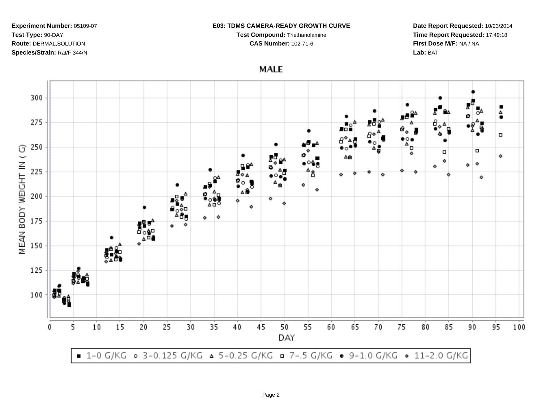### **E03: TDMS CAMERA-READY GROWTH CURVE**

**Test Compound:** Triethanolamine

**CAS Number:** 102-71-6

**Date Report Requested:** 10/23/2014**Time Report Requested:** 17:49:18**First Dose M/F:** NA / NA**Lab:** BAT

**MALE** 

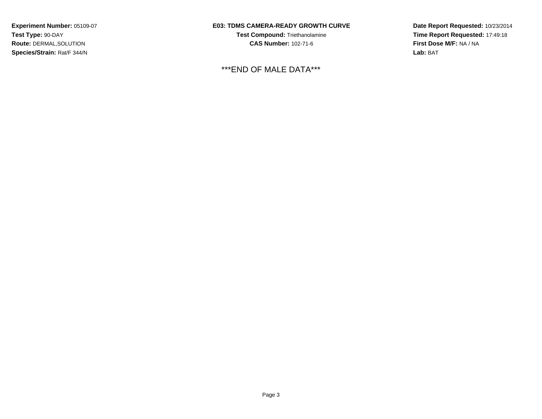## **E03: TDMS CAMERA-READY GROWTH CURVE**

**Test Compound:** Triethanolamine**CAS Number:** 102-71-6

# \*\*\*END OF MALE DATA\*\*\*

**Date Report Requested:** 10/23/2014**Time Report Requested:** 17:49:18**First Dose M/F:** NA / NA**Lab:** BAT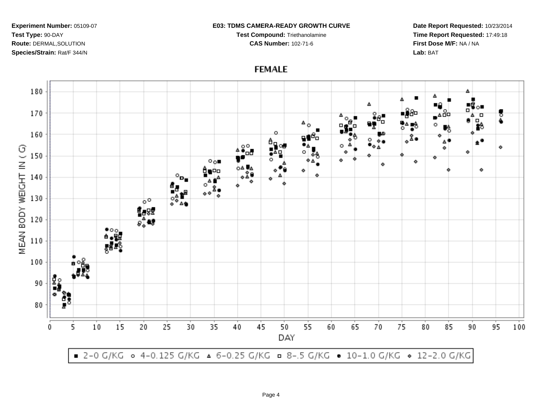### **E03: TDMS CAMERA-READY GROWTH CURVE**

**Test Compound:** Triethanolamine

**CAS Number:** 102-71-6

**Date Report Requested:** 10/23/2014**Time Report Requested:** 17:49:18**First Dose M/F:** NA / NA**Lab:** BAT

**FEMALE**